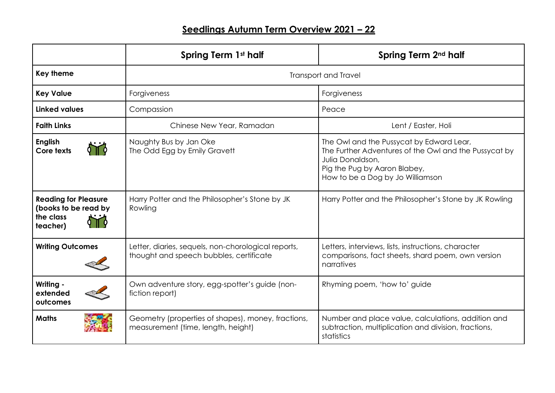|                                                                              | Spring Term 1st half                                                                           | Spring Term 2 <sup>nd</sup> half                                                                                                                                                          |
|------------------------------------------------------------------------------|------------------------------------------------------------------------------------------------|-------------------------------------------------------------------------------------------------------------------------------------------------------------------------------------------|
| <b>Key theme</b>                                                             | <b>Transport and Travel</b>                                                                    |                                                                                                                                                                                           |
| <b>Key Value</b>                                                             | Forgiveness                                                                                    | Forgiveness                                                                                                                                                                               |
| <b>Linked values</b>                                                         | Compassion                                                                                     | Peace                                                                                                                                                                                     |
| <b>Faith Links</b>                                                           | Chinese New Year, Ramadan                                                                      | Lent / Easter, Holi                                                                                                                                                                       |
| <b>English</b><br>Core texts                                                 | Naughty Bus by Jan Oke<br>The Odd Egg by Emily Gravett                                         | The Owl and the Pussycat by Edward Lear,<br>The Further Adventures of the Owl and the Pussycat by<br>Julia Donaldson,<br>Pig the Pug by Aaron Blabey,<br>How to be a Dog by Jo Williamson |
| <b>Reading for Pleasure</b><br>(books to be read by<br>the class<br>teacher) | Harry Potter and the Philosopher's Stone by JK<br>Rowling                                      | Harry Potter and the Philosopher's Stone by JK Rowling                                                                                                                                    |
| <b>Writing Outcomes</b>                                                      | Letter, diaries, sequels, non-chorological reports,<br>thought and speech bubbles, certificate | Letters, interviews, lists, instructions, character<br>comparisons, fact sheets, shard poem, own version<br>narratives                                                                    |
| Writing -<br>extended<br>outcomes                                            | Own adventure story, egg-spotter's guide (non-<br>fiction report)                              | Rhyming poem, 'how to' guide                                                                                                                                                              |
| <b>Maths</b>                                                                 | Geometry (properties of shapes), money, fractions,<br>measurement (time, length, height)       | Number and place value, calculations, addition and<br>subtraction, multiplication and division, fractions,<br>statistics                                                                  |